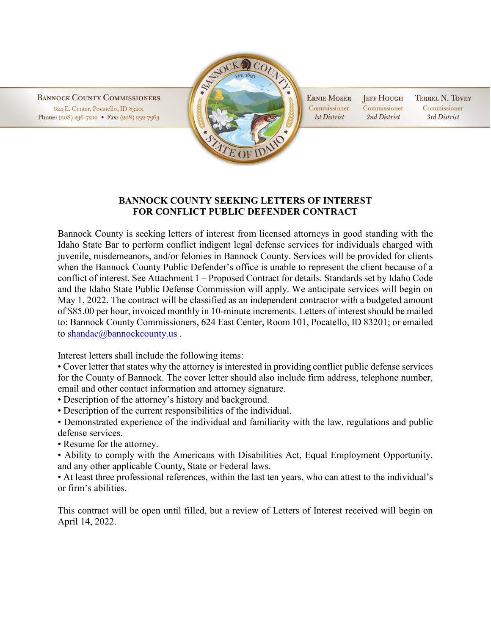**BANNOCK COUNTY COMMISSIONERS** 624 E. Center, Pocatello, ID 83201 Phone: (208) 236-7210 • Fax: (208) 232-7363



**ERNIE MOSER** Commissioner **Ist District** 

**JEFF HOUGH TERREL N. TOVEY** Commissioner Commissioner 2nd District 3rd District

## **BANNOCK COUNTY SEEKING LETTERS OF INTEREST FOR CONFLICT PUBLIC DEFENDER CONTRACT**

Bannock County is seeking letters of interest from licensed attorneys in good standing with the Idaho State Bar to perform conflict indigent legal defense services for individuals charged with juvenile, misdemeanors, and/or felonies in Bannock County. Services will be provided for clients when the Bannock County Public Defender's office is unable to represent the client because of a conflict of interest. See Attachment 1 – Proposed Contract for details. Standards set by Idaho Code and the Idaho State Public Defense Commission will apply. We anticipate services will begin on May 1, 2022. The contract will be classified as an independent contractor with a budgeted amount of \$85.00 per hour, invoiced monthly in 10-minute increments. Letters of interest should be mailed to: Bannock County Commissioners, 624 East Center, Room 101, Pocatello, ID 83201; or emailed to shandac@bannockcounty.us.

Interest letters shall include the following items:

• Cover letter that states why the attorney is interested in providing conflict public defense services for the County of Bannock. The cover letter should also include firm address, telephone number, email and other contact information and attorney signature.

• Description of the attorney's history and background.

• Description of the current responsibilities of the individual.

• Demonstrated experience of the individual and familiarity with the law, regulations and public defense services.

• Resume for the attorney.

• Ability to comply with the Americans with Disabilities Act, Equal Employment Opportunity, and any other applicable County, State or Federal laws.

• At least three professional references, within the last ten years, who can attest to the individual's or firm's abilities.

This contract will be open until filled, but a review of Letters of Interest received will begin on April 14, 2022.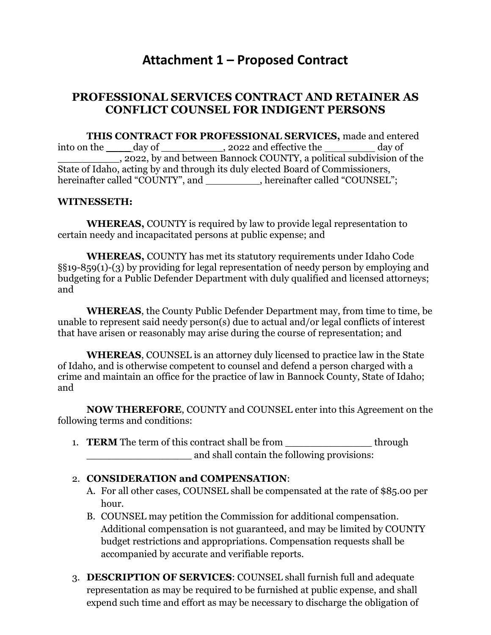# **Attachment 1 – Proposed Contract**

# **PROFESSIONAL SERVICES CONTRACT AND RETAINER AS CONFLICT COUNSEL FOR INDIGENT PERSONS**

**THIS CONTRACT FOR PROFESSIONAL SERVICES,** made and entered into on the \_\_\_\_\_ day of \_\_\_\_\_\_\_\_\_, 2022 and effective the day of \_\_\_\_\_\_\_\_\_\_, 2022, by and between Bannock COUNTY, a political subdivision of the State of Idaho, acting by and through its duly elected Board of Commissioners, hereinafter called "COUNTY", and \_\_\_\_\_\_\_\_\_\_, hereinafter called "COUNSEL";

#### **WITNESSETH:**

**WHEREAS,** COUNTY is required by law to provide legal representation to certain needy and incapacitated persons at public expense; and

**WHEREAS,** COUNTY has met its statutory requirements under Idaho Code §§19-859(1)-(3) by providing for legal representation of needy person by employing and budgeting for a Public Defender Department with duly qualified and licensed attorneys; and

**WHEREAS**, the County Public Defender Department may, from time to time, be unable to represent said needy person(s) due to actual and/or legal conflicts of interest that have arisen or reasonably may arise during the course of representation; and

**WHEREAS**, COUNSEL is an attorney duly licensed to practice law in the State of Idaho, and is otherwise competent to counsel and defend a person charged with a crime and maintain an office for the practice of law in Bannock County, State of Idaho; and

**NOW THEREFORE**, COUNTY and COUNSEL enter into this Agreement on the following terms and conditions:

1. **TERM** The term of this contract shall be from through and shall contain the following provisions:

### 2. **CONSIDERATION and COMPENSATION**:

- A. For all other cases, COUNSEL shall be compensated at the rate of \$85.00 per hour.
- B. COUNSEL may petition the Commission for additional compensation. Additional compensation is not guaranteed, and may be limited by COUNTY budget restrictions and appropriations. Compensation requests shall be accompanied by accurate and verifiable reports.
- 3. **DESCRIPTION OF SERVICES**: COUNSEL shall furnish full and adequate representation as may be required to be furnished at public expense, and shall expend such time and effort as may be necessary to discharge the obligation of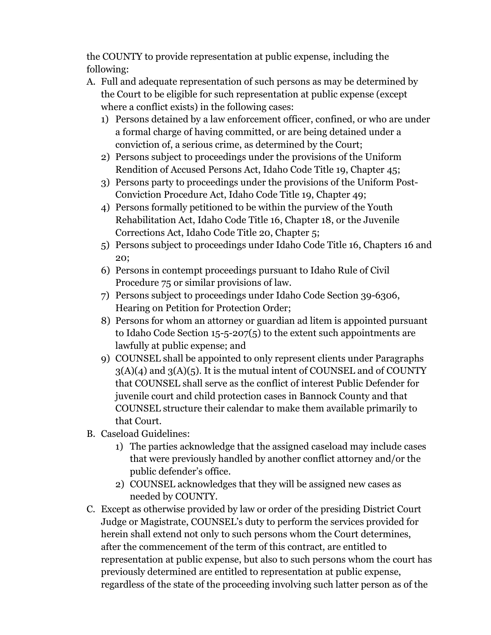the COUNTY to provide representation at public expense, including the following:

- A. Full and adequate representation of such persons as may be determined by the Court to be eligible for such representation at public expense (except where a conflict exists) in the following cases:
	- 1) Persons detained by a law enforcement officer, confined, or who are under a formal charge of having committed, or are being detained under a conviction of, a serious crime, as determined by the Court;
	- 2) Persons subject to proceedings under the provisions of the Uniform Rendition of Accused Persons Act, Idaho Code Title 19, Chapter 45;
	- 3) Persons party to proceedings under the provisions of the Uniform Post-Conviction Procedure Act, Idaho Code Title 19, Chapter 49;
	- 4) Persons formally petitioned to be within the purview of the Youth Rehabilitation Act, Idaho Code Title 16, Chapter 18, or the Juvenile Corrections Act, Idaho Code Title 20, Chapter 5;
	- 5) Persons subject to proceedings under Idaho Code Title 16, Chapters 16 and 20;
	- 6) Persons in contempt proceedings pursuant to Idaho Rule of Civil Procedure 75 or similar provisions of law.
	- 7) Persons subject to proceedings under Idaho Code Section 39-6306, Hearing on Petition for Protection Order;
	- 8) Persons for whom an attorney or guardian ad litem is appointed pursuant to Idaho Code Section 15-5-207(5) to the extent such appointments are lawfully at public expense; and
	- 9) COUNSEL shall be appointed to only represent clients under Paragraphs  $3(A)(4)$  and  $3(A)(5)$ . It is the mutual intent of COUNSEL and of COUNTY that COUNSEL shall serve as the conflict of interest Public Defender for juvenile court and child protection cases in Bannock County and that COUNSEL structure their calendar to make them available primarily to that Court.
- B. Caseload Guidelines:
	- 1) The parties acknowledge that the assigned caseload may include cases that were previously handled by another conflict attorney and/or the public defender's office.
	- 2) COUNSEL acknowledges that they will be assigned new cases as needed by COUNTY.
- C. Except as otherwise provided by law or order of the presiding District Court Judge or Magistrate, COUNSEL's duty to perform the services provided for herein shall extend not only to such persons whom the Court determines, after the commencement of the term of this contract, are entitled to representation at public expense, but also to such persons whom the court has previously determined are entitled to representation at public expense, regardless of the state of the proceeding involving such latter person as of the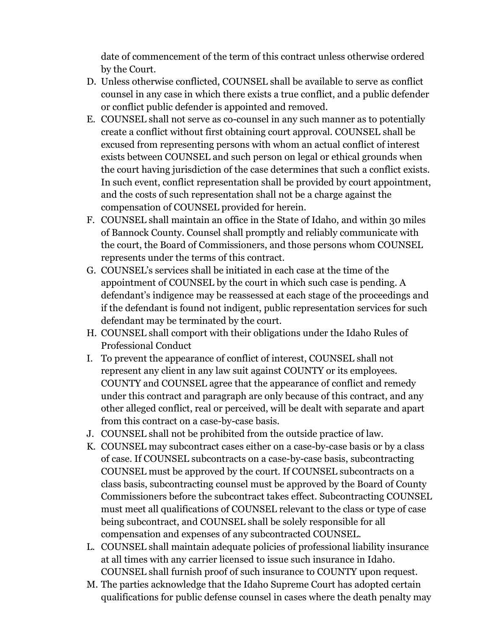date of commencement of the term of this contract unless otherwise ordered by the Court.

- D. Unless otherwise conflicted, COUNSEL shall be available to serve as conflict counsel in any case in which there exists a true conflict, and a public defender or conflict public defender is appointed and removed.
- E. COUNSEL shall not serve as co-counsel in any such manner as to potentially create a conflict without first obtaining court approval. COUNSEL shall be excused from representing persons with whom an actual conflict of interest exists between COUNSEL and such person on legal or ethical grounds when the court having jurisdiction of the case determines that such a conflict exists. In such event, conflict representation shall be provided by court appointment, and the costs of such representation shall not be a charge against the compensation of COUNSEL provided for herein.
- F. COUNSEL shall maintain an office in the State of Idaho, and within 30 miles of Bannock County. Counsel shall promptly and reliably communicate with the court, the Board of Commissioners, and those persons whom COUNSEL represents under the terms of this contract.
- G. COUNSEL's services shall be initiated in each case at the time of the appointment of COUNSEL by the court in which such case is pending. A defendant's indigence may be reassessed at each stage of the proceedings and if the defendant is found not indigent, public representation services for such defendant may be terminated by the court.
- H. COUNSEL shall comport with their obligations under the Idaho Rules of Professional Conduct
- I. To prevent the appearance of conflict of interest, COUNSEL shall not represent any client in any law suit against COUNTY or its employees. COUNTY and COUNSEL agree that the appearance of conflict and remedy under this contract and paragraph are only because of this contract, and any other alleged conflict, real or perceived, will be dealt with separate and apart from this contract on a case-by-case basis.
- J. COUNSEL shall not be prohibited from the outside practice of law.
- K. COUNSEL may subcontract cases either on a case-by-case basis or by a class of case. If COUNSEL subcontracts on a case-by-case basis, subcontracting COUNSEL must be approved by the court. If COUNSEL subcontracts on a class basis, subcontracting counsel must be approved by the Board of County Commissioners before the subcontract takes effect. Subcontracting COUNSEL must meet all qualifications of COUNSEL relevant to the class or type of case being subcontract, and COUNSEL shall be solely responsible for all compensation and expenses of any subcontracted COUNSEL.
- L. COUNSEL shall maintain adequate policies of professional liability insurance at all times with any carrier licensed to issue such insurance in Idaho. COUNSEL shall furnish proof of such insurance to COUNTY upon request.
- M. The parties acknowledge that the Idaho Supreme Court has adopted certain qualifications for public defense counsel in cases where the death penalty may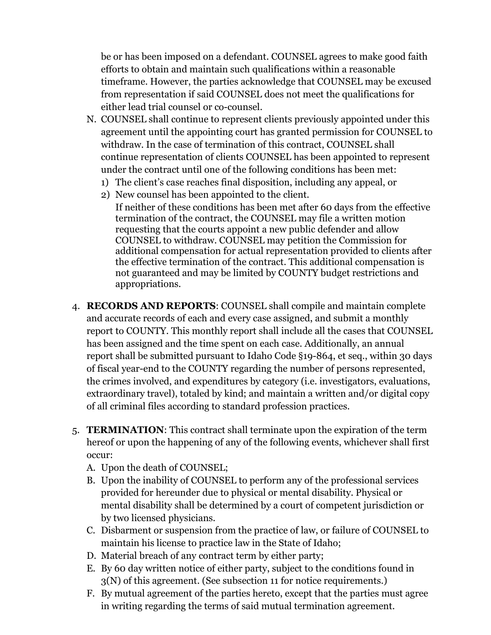be or has been imposed on a defendant. COUNSEL agrees to make good faith efforts to obtain and maintain such qualifications within a reasonable timeframe. However, the parties acknowledge that COUNSEL may be excused from representation if said COUNSEL does not meet the qualifications for either lead trial counsel or co-counsel.

- N. COUNSEL shall continue to represent clients previously appointed under this agreement until the appointing court has granted permission for COUNSEL to withdraw. In the case of termination of this contract, COUNSEL shall continue representation of clients COUNSEL has been appointed to represent under the contract until one of the following conditions has been met:
	- 1) The client's case reaches final disposition, including any appeal, or
	- 2) New counsel has been appointed to the client.

If neither of these conditions has been met after 60 days from the effective termination of the contract, the COUNSEL may file a written motion requesting that the courts appoint a new public defender and allow COUNSEL to withdraw. COUNSEL may petition the Commission for additional compensation for actual representation provided to clients after the effective termination of the contract. This additional compensation is not guaranteed and may be limited by COUNTY budget restrictions and appropriations.

- 4. **RECORDS AND REPORTS**: COUNSEL shall compile and maintain complete and accurate records of each and every case assigned, and submit a monthly report to COUNTY. This monthly report shall include all the cases that COUNSEL has been assigned and the time spent on each case. Additionally, an annual report shall be submitted pursuant to Idaho Code §19-864, et seq., within 30 days of fiscal year-end to the COUNTY regarding the number of persons represented, the crimes involved, and expenditures by category (i.e. investigators, evaluations, extraordinary travel), totaled by kind; and maintain a written and/or digital copy of all criminal files according to standard profession practices.
- 5. **TERMINATION**: This contract shall terminate upon the expiration of the term hereof or upon the happening of any of the following events, whichever shall first occur:
	- A. Upon the death of COUNSEL;
	- B. Upon the inability of COUNSEL to perform any of the professional services provided for hereunder due to physical or mental disability. Physical or mental disability shall be determined by a court of competent jurisdiction or by two licensed physicians.
	- C. Disbarment or suspension from the practice of law, or failure of COUNSEL to maintain his license to practice law in the State of Idaho;
	- D. Material breach of any contract term by either party;
	- E. By 60 day written notice of either party, subject to the conditions found in 3(N) of this agreement. (See subsection 11 for notice requirements.)
	- F. By mutual agreement of the parties hereto, except that the parties must agree in writing regarding the terms of said mutual termination agreement.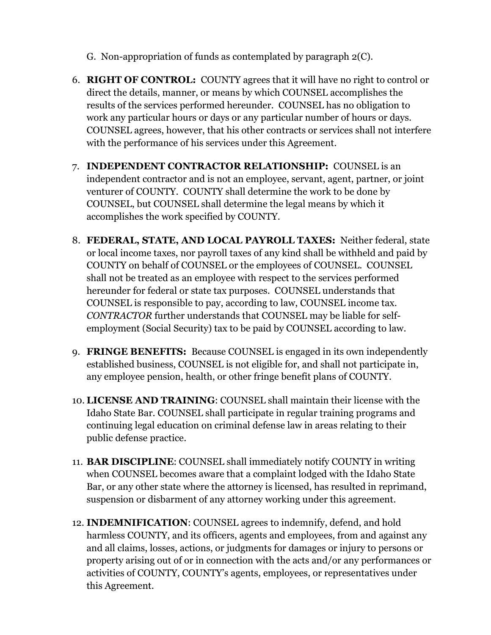- G. Non-appropriation of funds as contemplated by paragraph 2(C).
- 6. **RIGHT OF CONTROL:** COUNTY agrees that it will have no right to control or direct the details, manner, or means by which COUNSEL accomplishes the results of the services performed hereunder. COUNSEL has no obligation to work any particular hours or days or any particular number of hours or days. COUNSEL agrees, however, that his other contracts or services shall not interfere with the performance of his services under this Agreement.
- 7. **INDEPENDENT CONTRACTOR RELATIONSHIP:** COUNSEL is an independent contractor and is not an employee, servant, agent, partner, or joint venturer of COUNTY. COUNTY shall determine the work to be done by COUNSEL, but COUNSEL shall determine the legal means by which it accomplishes the work specified by COUNTY.
- 8. **FEDERAL, STATE, AND LOCAL PAYROLL TAXES:** Neither federal, state or local income taxes, nor payroll taxes of any kind shall be withheld and paid by COUNTY on behalf of COUNSEL or the employees of COUNSEL. COUNSEL shall not be treated as an employee with respect to the services performed hereunder for federal or state tax purposes. COUNSEL understands that COUNSEL is responsible to pay, according to law, COUNSEL income tax. *CONTRACTOR* further understands that COUNSEL may be liable for selfemployment (Social Security) tax to be paid by COUNSEL according to law.
- 9. **FRINGE BENEFITS:** Because COUNSEL is engaged in its own independently established business, COUNSEL is not eligible for, and shall not participate in, any employee pension, health, or other fringe benefit plans of COUNTY.
- 10. **LICENSE AND TRAINING**: COUNSEL shall maintain their license with the Idaho State Bar. COUNSEL shall participate in regular training programs and continuing legal education on criminal defense law in areas relating to their public defense practice.
- 11. **BAR DISCIPLINE**: COUNSEL shall immediately notify COUNTY in writing when COUNSEL becomes aware that a complaint lodged with the Idaho State Bar, or any other state where the attorney is licensed, has resulted in reprimand, suspension or disbarment of any attorney working under this agreement.
- 12. **INDEMNIFICATION**: COUNSEL agrees to indemnify, defend, and hold harmless COUNTY, and its officers, agents and employees, from and against any and all claims, losses, actions, or judgments for damages or injury to persons or property arising out of or in connection with the acts and/or any performances or activities of COUNTY, COUNTY's agents, employees, or representatives under this Agreement.